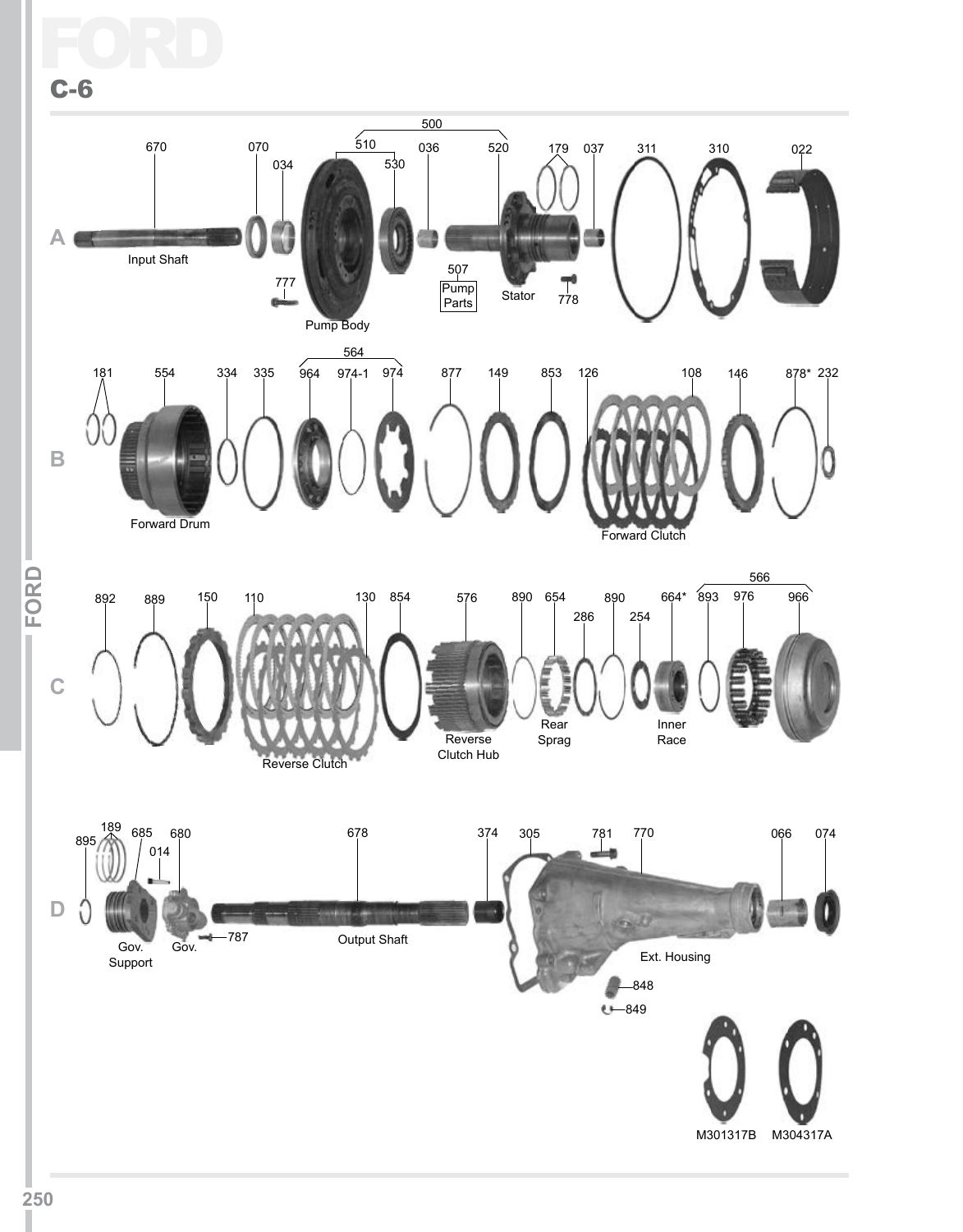Ford C-6